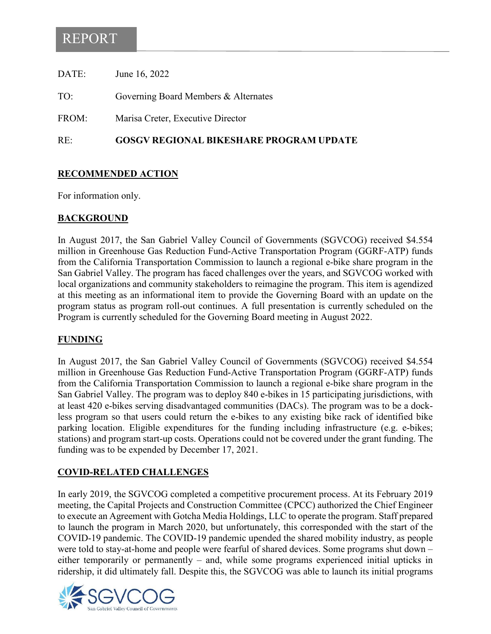# REPORT

| RE:   | <b>GOSGV REGIONAL BIKESHARE PROGRAM UPDATE</b> |
|-------|------------------------------------------------|
| FROM: | Marisa Creter, Executive Director              |
| TO:   | Governing Board Members & Alternates           |
| DATE: | June 16, 2022                                  |

#### **RECOMMENDED ACTION**

For information only.

#### **BACKGROUND**

In August 2017, the San Gabriel Valley Council of Governments (SGVCOG) received \$4.554 million in Greenhouse Gas Reduction Fund-Active Transportation Program (GGRF-ATP) funds from the California Transportation Commission to launch a regional e-bike share program in the San Gabriel Valley. The program has faced challenges over the years, and SGVCOG worked with local organizations and community stakeholders to reimagine the program. This item is agendized at this meeting as an informational item to provide the Governing Board with an update on the program status as program roll-out continues. A full presentation is currently scheduled on the Program is currently scheduled for the Governing Board meeting in August 2022.

#### **FUNDING**

In August 2017, the San Gabriel Valley Council of Governments (SGVCOG) received \$4.554 million in Greenhouse Gas Reduction Fund-Active Transportation Program (GGRF-ATP) funds from the California Transportation Commission to launch a regional e-bike share program in the San Gabriel Valley. The program was to deploy 840 e-bikes in 15 participating jurisdictions, with at least 420 e-bikes serving disadvantaged communities (DACs). The program was to be a dockless program so that users could return the e-bikes to any existing bike rack of identified bike parking location. Eligible expenditures for the funding including infrastructure (e.g. e-bikes; stations) and program start-up costs. Operations could not be covered under the grant funding. The funding was to be expended by December 17, 2021.

#### **COVID-RELATED CHALLENGES**

In early 2019, the SGVCOG completed a competitive procurement process. At its February 2019 meeting, the Capital Projects and Construction Committee (CPCC) authorized the Chief Engineer to execute an Agreement with Gotcha Media Holdings, LLC to operate the program. Staff prepared to launch the program in March 2020, but unfortunately, this corresponded with the start of the COVID-19 pandemic. The COVID-19 pandemic upended the shared mobility industry, as people were told to stay-at-home and people were fearful of shared devices. Some programs shut down – either temporarily or permanently – and, while some programs experienced initial upticks in ridership, it did ultimately fall. Despite this, the SGVCOG was able to launch its initial programs

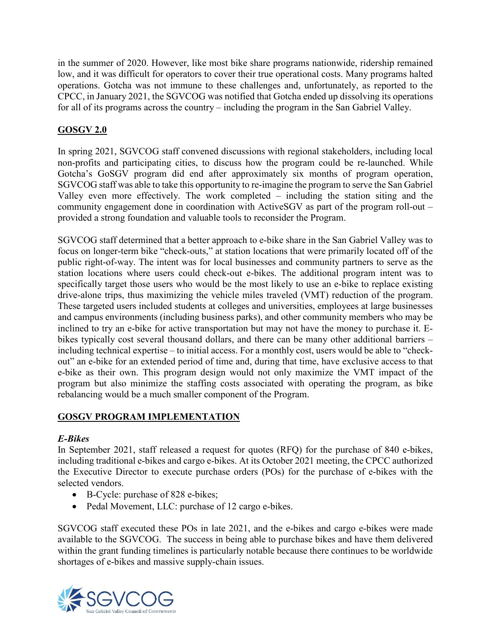in the summer of 2020. However, like most bike share programs nationwide, ridership remained low, and it was difficult for operators to cover their true operational costs. Many programs halted operations. Gotcha was not immune to these challenges and, unfortunately, as reported to the CPCC, in January 2021, the SGVCOG was notified that Gotcha ended up dissolving its operations for all of its programs across the country – including the program in the San Gabriel Valley.

### **GOSGV 2.0**

In spring 2021, SGVCOG staff convened discussions with regional stakeholders, including local non-profits and participating cities, to discuss how the program could be re-launched. While Gotcha's GoSGV program did end after approximately six months of program operation, SGVCOG staff was able to take this opportunity to re-imagine the program to serve the San Gabriel Valley even more effectively. The work completed – including the station siting and the community engagement done in coordination with ActiveSGV as part of the program roll-out – provided a strong foundation and valuable tools to reconsider the Program.

SGVCOG staff determined that a better approach to e-bike share in the San Gabriel Valley was to focus on longer-term bike "check-outs," at station locations that were primarily located off of the public right-of-way. The intent was for local businesses and community partners to serve as the station locations where users could check-out e-bikes. The additional program intent was to specifically target those users who would be the most likely to use an e-bike to replace existing drive-alone trips, thus maximizing the vehicle miles traveled (VMT) reduction of the program. These targeted users included students at colleges and universities, employees at large businesses and campus environments (including business parks), and other community members who may be inclined to try an e-bike for active transportation but may not have the money to purchase it. Ebikes typically cost several thousand dollars, and there can be many other additional barriers – including technical expertise – to initial access. For a monthly cost, users would be able to "checkout" an e-bike for an extended period of time and, during that time, have exclusive access to that e-bike as their own. This program design would not only maximize the VMT impact of the program but also minimize the staffing costs associated with operating the program, as bike rebalancing would be a much smaller component of the Program.

#### **GOSGV PROGRAM IMPLEMENTATION**

#### *E-Bikes*

In September 2021, staff released a request for quotes (RFQ) for the purchase of 840 e-bikes, including traditional e-bikes and cargo e-bikes. At its October 2021 meeting, the CPCC authorized the Executive Director to execute purchase orders (POs) for the purchase of e-bikes with the selected vendors.

- B-Cycle: purchase of 828 e-bikes;
- Pedal Movement, LLC: purchase of 12 cargo e-bikes.

SGVCOG staff executed these POs in late 2021, and the e-bikes and cargo e-bikes were made available to the SGVCOG. The success in being able to purchase bikes and have them delivered within the grant funding timelines is particularly notable because there continues to be worldwide shortages of e-bikes and massive supply-chain issues.

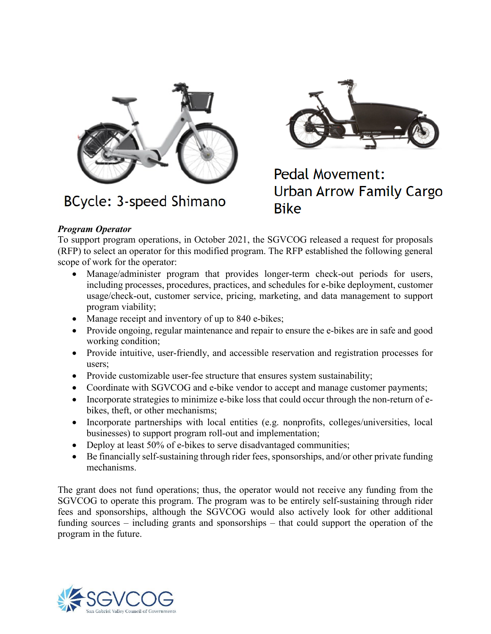

**BCycle: 3-speed Shimano** 



# **Pedal Movement: Urban Arrow Family Cargo Bike**

#### *Program Operator*

To support program operations, in October 2021, the SGVCOG released a request for proposals (RFP) to select an operator for this modified program. The RFP established the following general scope of work for the operator:

- Manage/administer program that provides longer-term check-out periods for users, including processes, procedures, practices, and schedules for e-bike deployment, customer usage/check-out, customer service, pricing, marketing, and data management to support program viability;
- Manage receipt and inventory of up to 840 e-bikes;
- Provide ongoing, regular maintenance and repair to ensure the e-bikes are in safe and good working condition;
- Provide intuitive, user-friendly, and accessible reservation and registration processes for users;
- Provide customizable user-fee structure that ensures system sustainability;
- Coordinate with SGVCOG and e-bike vendor to accept and manage customer payments;
- Incorporate strategies to minimize e-bike loss that could occur through the non-return of ebikes, theft, or other mechanisms;
- Incorporate partnerships with local entities (e.g. nonprofits, colleges/universities, local businesses) to support program roll-out and implementation;
- Deploy at least 50% of e-bikes to serve disadvantaged communities;
- Be financially self-sustaining through rider fees, sponsorships, and/or other private funding mechanisms.

The grant does not fund operations; thus, the operator would not receive any funding from the SGVCOG to operate this program. The program was to be entirely self-sustaining through rider fees and sponsorships, although the SGVCOG would also actively look for other additional funding sources – including grants and sponsorships – that could support the operation of the program in the future.